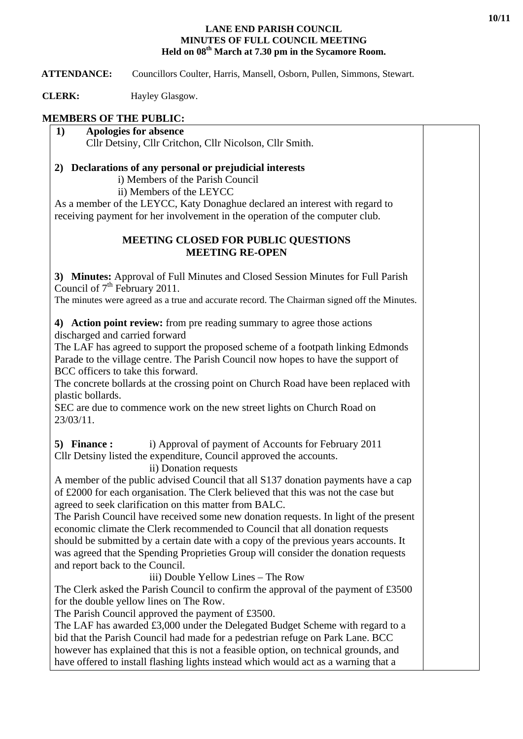## **LANE END PARISH COUNCIL MINUTES OF FULL COUNCIL MEETING Held on 08th March at 7.30 pm in the Sycamore Room.**

 **ATTENDANCE:** Councillors Coulter, Harris, Mansell, Osborn, Pullen, Simmons, Stewart.

**CLERK:** Hayley Glasgow.

## **MEMBERS OF THE PUBLIC:**

**1) Apologies for absence**  Cllr Detsiny, Cllr Critchon, Cllr Nicolson, Cllr Smith.

## **2) Declarations of any personal or prejudicial interests**

i) Members of the Parish Council

ii) Members of the LEYCC

As a member of the LEYCC, Katy Donaghue declared an interest with regard to receiving payment for her involvement in the operation of the computer club.

## **MEETING CLOSED FOR PUBLIC QUESTIONS MEETING RE-OPEN**

**3) Minutes:** Approval of Full Minutes and Closed Session Minutes for Full Parish Council of  $7<sup>th</sup>$  February 2011.

The minutes were agreed as a true and accurate record. The Chairman signed off the Minutes.

**4) Action point review:** from pre reading summary to agree those actions discharged and carried forward

The LAF has agreed to support the proposed scheme of a footpath linking Edmonds Parade to the village centre. The Parish Council now hopes to have the support of BCC officers to take this forward.

The concrete bollards at the crossing point on Church Road have been replaced with plastic bollards.

SEC are due to commence work on the new street lights on Church Road on 23/03/11.

**5) Finance :** i) Approval of payment of Accounts for February 2011 Cllr Detsiny listed the expenditure, Council approved the accounts.

ii) Donation requests

A member of the public advised Council that all S137 donation payments have a cap of £2000 for each organisation. The Clerk believed that this was not the case but agreed to seek clarification on this matter from BALC.

The Parish Council have received some new donation requests. In light of the present economic climate the Clerk recommended to Council that all donation requests should be submitted by a certain date with a copy of the previous years accounts. It was agreed that the Spending Proprieties Group will consider the donation requests and report back to the Council.

iii) Double Yellow Lines – The Row

The Clerk asked the Parish Council to confirm the approval of the payment of £3500 for the double yellow lines on The Row.

The Parish Council approved the payment of £3500.

The LAF has awarded £3,000 under the Delegated Budget Scheme with regard to a bid that the Parish Council had made for a pedestrian refuge on Park Lane. BCC however has explained that this is not a feasible option, on technical grounds, and have offered to install flashing lights instead which would act as a warning that a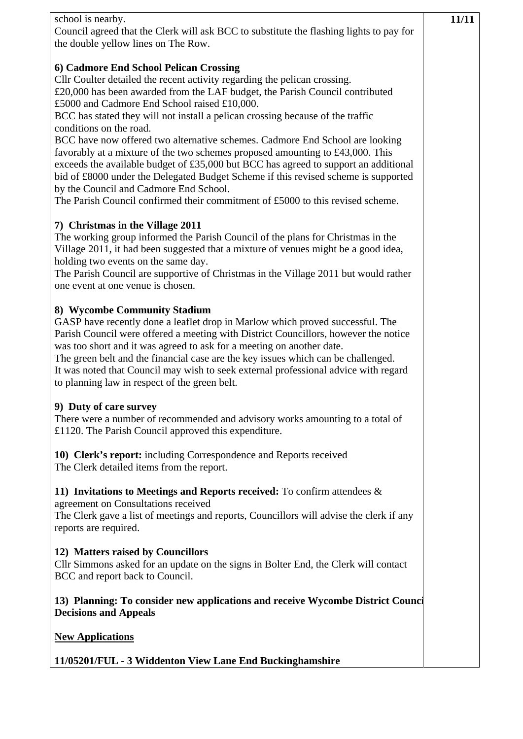| school is nearby.<br>Council agreed that the Clerk will ask BCC to substitute the flashing lights to pay for                                                                                                                                                                                                                                                                                                                                                                                                                                                                                                                                                                                                                                                                                                                               | 11/11 |
|--------------------------------------------------------------------------------------------------------------------------------------------------------------------------------------------------------------------------------------------------------------------------------------------------------------------------------------------------------------------------------------------------------------------------------------------------------------------------------------------------------------------------------------------------------------------------------------------------------------------------------------------------------------------------------------------------------------------------------------------------------------------------------------------------------------------------------------------|-------|
| the double yellow lines on The Row.                                                                                                                                                                                                                                                                                                                                                                                                                                                                                                                                                                                                                                                                                                                                                                                                        |       |
| 6) Cadmore End School Pelican Crossing<br>Cllr Coulter detailed the recent activity regarding the pelican crossing.<br>£20,000 has been awarded from the LAF budget, the Parish Council contributed<br>£5000 and Cadmore End School raised £10,000.<br>BCC has stated they will not install a pelican crossing because of the traffic<br>conditions on the road.<br>BCC have now offered two alternative schemes. Cadmore End School are looking<br>favorably at a mixture of the two schemes proposed amounting to £43,000. This<br>exceeds the available budget of £35,000 but BCC has agreed to support an additional<br>bid of £8000 under the Delegated Budget Scheme if this revised scheme is supported<br>by the Council and Cadmore End School.<br>The Parish Council confirmed their commitment of £5000 to this revised scheme. |       |
| 7) Christmas in the Village 2011<br>The working group informed the Parish Council of the plans for Christmas in the<br>Village 2011, it had been suggested that a mixture of venues might be a good idea,<br>holding two events on the same day.<br>The Parish Council are supportive of Christmas in the Village 2011 but would rather<br>one event at one venue is chosen.                                                                                                                                                                                                                                                                                                                                                                                                                                                               |       |
| 8) Wycombe Community Stadium<br>GASP have recently done a leaflet drop in Marlow which proved successful. The<br>Parish Council were offered a meeting with District Councillors, however the notice<br>was too short and it was agreed to ask for a meeting on another date.<br>The green belt and the financial case are the key issues which can be challenged.<br>It was noted that Council may wish to seek external professional advice with regard<br>to planning law in respect of the green belt.                                                                                                                                                                                                                                                                                                                                 |       |
| 9) Duty of care survey<br>There were a number of recommended and advisory works amounting to a total of<br>£1120. The Parish Council approved this expenditure.                                                                                                                                                                                                                                                                                                                                                                                                                                                                                                                                                                                                                                                                            |       |
| 10) Clerk's report: including Correspondence and Reports received<br>The Clerk detailed items from the report.                                                                                                                                                                                                                                                                                                                                                                                                                                                                                                                                                                                                                                                                                                                             |       |
| 11) Invitations to Meetings and Reports received: To confirm attendees $\&$<br>agreement on Consultations received<br>The Clerk gave a list of meetings and reports, Councillors will advise the clerk if any<br>reports are required.                                                                                                                                                                                                                                                                                                                                                                                                                                                                                                                                                                                                     |       |
| 12) Matters raised by Councillors<br>Cllr Simmons asked for an update on the signs in Bolter End, the Clerk will contact<br>BCC and report back to Council.                                                                                                                                                                                                                                                                                                                                                                                                                                                                                                                                                                                                                                                                                |       |
| 13) Planning: To consider new applications and receive Wycombe District Counci<br><b>Decisions and Appeals</b>                                                                                                                                                                                                                                                                                                                                                                                                                                                                                                                                                                                                                                                                                                                             |       |
| <b>New Applications</b>                                                                                                                                                                                                                                                                                                                                                                                                                                                                                                                                                                                                                                                                                                                                                                                                                    |       |
| 11/05201/FUL - 3 Widdenton View Lane End Buckinghamshire                                                                                                                                                                                                                                                                                                                                                                                                                                                                                                                                                                                                                                                                                                                                                                                   |       |